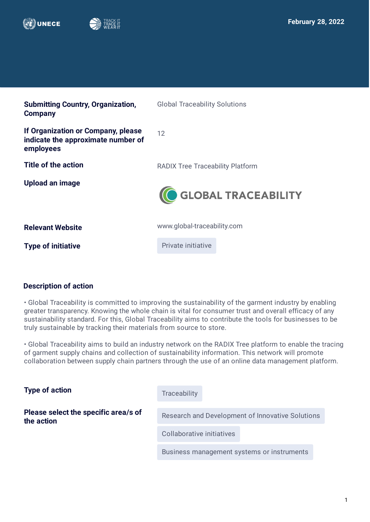



| <b>Global Traceability Solutions</b>    |
|-----------------------------------------|
| 12                                      |
| <b>RADIX Tree Traceability Platform</b> |
| GLOBAL TRACEABILITY                     |
| www.global-traceability.com             |
| Private initiative                      |
|                                         |

# **Description of action**

• Global Traceability is committed to improving the sustainability of the garment industry by enabling greater transparency. Knowing the whole chain is vital for consumer trust and overall efficacy of any sustainability standard. For this, Global Traceability aims to contribute the tools for businesses to be truly sustainable by tracking their materials from source to store.

• Global Traceability aims to build an industry network on the RADIX Tree platform to enable the tracing of garment supply chains and collection of sustainability information. This network will promote collaboration between supply chain partners through the use of an online data management platform.

| <b>Type of action</b>                              | Traceability                                     |
|----------------------------------------------------|--------------------------------------------------|
| Please select the specific area/s of<br>the action |                                                  |
|                                                    | Research and Development of Innovative Solutions |
|                                                    | Collaborative initiatives                        |
|                                                    | Business management systems or instruments       |
|                                                    |                                                  |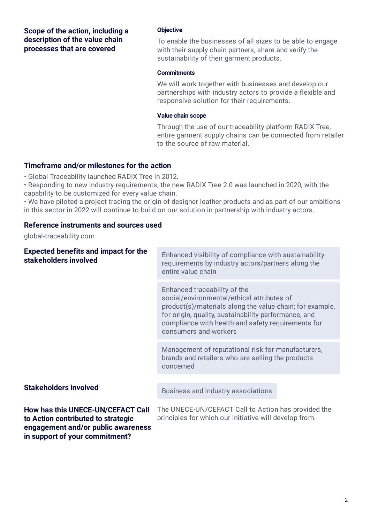**Scope of the action, including a description of the value chain processes that are covered**

#### **Objective**

To enable the businesses of all sizes to be able to engage with their supply chain partners, share and verify the sustainability of their garment products.

#### **Commitments**

We will work together with businesses and develop our partnerships with industry actors to provide a flexible and responsive solution for their requirements.

#### **Value chain scope**

Through the use of our traceability platform RADIX Tree, entire garment supply chains can be connected from retailer to the source of raw material.

### **Timeframe and/or milestones for the action**

• Global Traceability launched RADIX Tree in 2012.

• Responding to new industry requirements, the new RADIX Tree 2.0 was launched in 2020, with the capability to be customized for every value chain.

• We have piloted a project tracing the origin of designer leather products and as part of our ambitions in this sector in 2022 will continue to build on our solution in partnership with industry actors.

## **Reference instruments and sources used**

global-traceability.com

| <b>Expected benefits and impact for the</b><br>stakeholders involved                                                                            | Enhanced visibility of compliance with sustainability<br>requirements by industry actors/partners along the<br>entire value chain                                                                                                                                             |
|-------------------------------------------------------------------------------------------------------------------------------------------------|-------------------------------------------------------------------------------------------------------------------------------------------------------------------------------------------------------------------------------------------------------------------------------|
|                                                                                                                                                 | Enhanced traceability of the<br>social/environmental/ethical attributes of<br>product(s)/materials along the value chain; for example,<br>for origin, quality, sustainability performance, and<br>compliance with health and safety requirements for<br>consumers and workers |
|                                                                                                                                                 | Management of reputational risk for manufacturers,<br>brands and retailers who are selling the products<br>concerned                                                                                                                                                          |
| <b>Stakeholders involved</b>                                                                                                                    |                                                                                                                                                                                                                                                                               |
|                                                                                                                                                 | Business and industry associations                                                                                                                                                                                                                                            |
| How has this UNECE-UN/CEFACT Call<br>to Action contributed to strategic<br>engagement and/or public awareness<br>in support of your commitment? | The UNECE-UN/CEFACT Call to Action has provided the<br>principles for which our initiative will develop from.                                                                                                                                                                 |